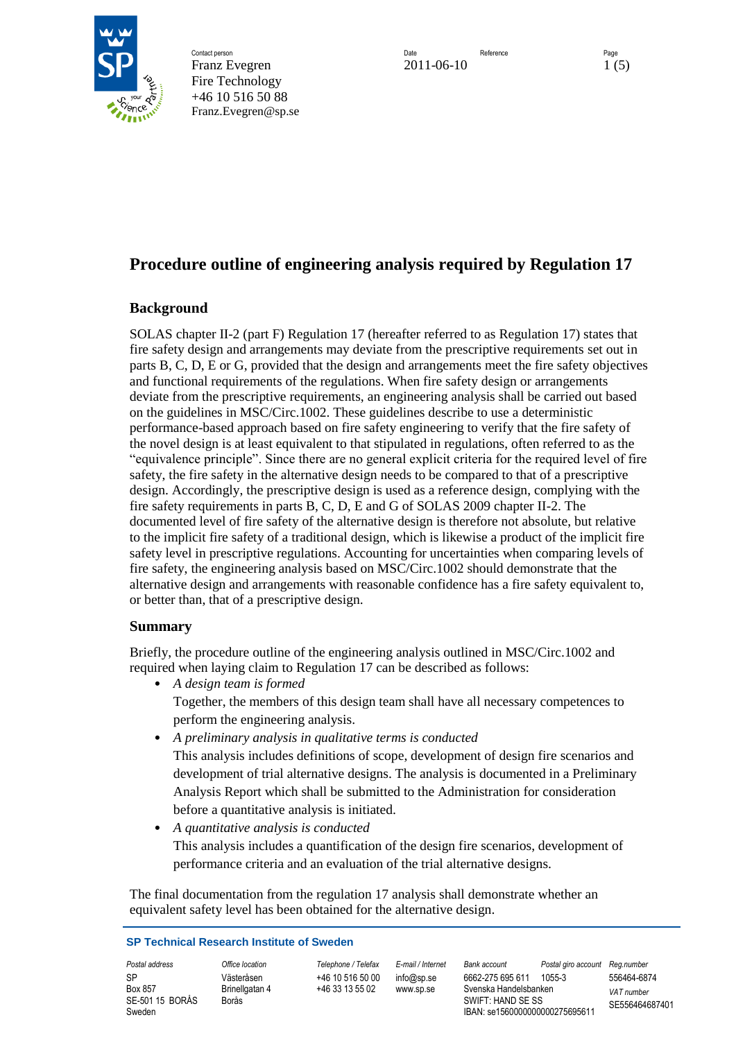

Contact person and the research of the Contact person Date Reference Reference Page Franz Evegren 2011-06-10 1 (5) Fire Technology +46 10 516 50 88 Franz.Evegren@sp.se

# **Procedure outline of engineering analysis required by Regulation 17**

# **Background**

SOLAS chapter II-2 (part F) Regulation 17 (hereafter referred to as Regulation 17) states that fire safety design and arrangements may deviate from the prescriptive requirements set out in parts B, C, D, E or G, provided that the design and arrangements meet the fire safety objectives and functional requirements of the regulations. When fire safety design or arrangements deviate from the prescriptive requirements, an engineering analysis shall be carried out based on the guidelines in MSC/Circ.1002. These guidelines describe to use a deterministic performance-based approach based on fire safety engineering to verify that the fire safety of the novel design is at least equivalent to that stipulated in regulations, often referred to as the "equivalence principle". Since there are no general explicit criteria for the required level of fire safety, the fire safety in the alternative design needs to be compared to that of a prescriptive design. Accordingly, the prescriptive design is used as a reference design, complying with the fire safety requirements in parts B, C, D, E and G of SOLAS 2009 chapter II-2. The documented level of fire safety of the alternative design is therefore not absolute, but relative to the implicit fire safety of a traditional design, which is likewise a product of the implicit fire safety level in prescriptive regulations. Accounting for uncertainties when comparing levels of fire safety, the engineering analysis based on MSC/Circ.1002 should demonstrate that the alternative design and arrangements with reasonable confidence has a fire safety equivalent to, or better than, that of a prescriptive design.

## **Summary**

Briefly, the procedure outline of the engineering analysis outlined in MSC/Circ.1002 and required when laying claim to Regulation 17 can be described as follows:

• *A design team is formed*

Together, the members of this design team shall have all necessary competences to perform the engineering analysis.

- *A preliminary analysis in qualitative terms is conducted* This analysis includes definitions of scope, development of design fire scenarios and development of trial alternative designs. The analysis is documented in a Preliminary Analysis Report which shall be submitted to the Administration for consideration before a quantitative analysis is initiated.
- *A quantitative analysis is conducted* This analysis includes a quantification of the design fire scenarios, development of performance criteria and an evaluation of the trial alternative designs.

The final documentation from the regulation 17 analysis shall demonstrate whether an equivalent safety level has been obtained for the alternative design.

#### **SP Technical Research Institute of Sweden**

SP Box 857 SE-501 15 BORÅS Sweden

Västeråsen Brinellgatan 4 Borås

+46 10 516 50 00 +46 33 13 55 02

info@sp.se www.sp.se

*Postal address Office location Telephone / Telefax E-mail / Internet Bank account Postal giro account Reg.number* 6662-275 695 611 1055-3 556464-6874 Svenska Handelsbanken SWIFT: HAND SE SS IBAN: se1560000000000275695611

*VAT number* SE556464687401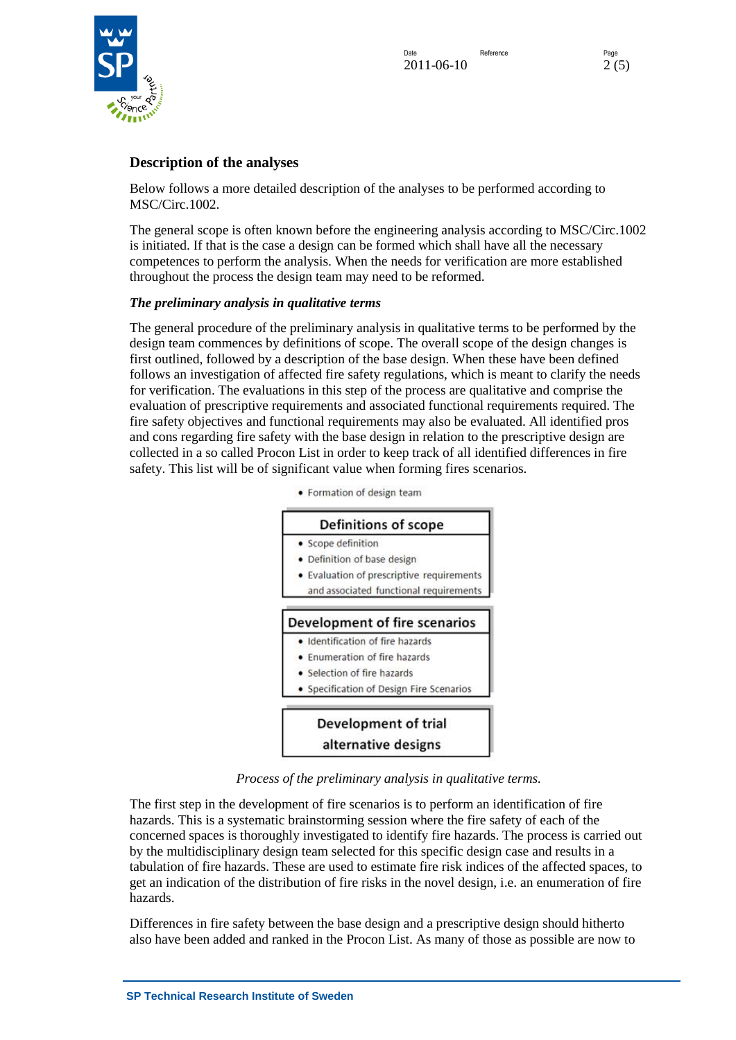

# **Description of the analyses**

Below follows a more detailed description of the analyses to be performed according to MSC/Circ.1002.

The general scope is often known before the engineering analysis according to MSC/Circ.1002 is initiated. If that is the case a design can be formed which shall have all the necessary competences to perform the analysis. When the needs for verification are more established throughout the process the design team may need to be reformed.

### *The preliminary analysis in qualitative terms*

The general procedure of the preliminary analysis in qualitative terms to be performed by the design team commences by definitions of scope. The overall scope of the design changes is first outlined, followed by a description of the base design. When these have been defined follows an investigation of affected fire safety regulations, which is meant to clarify the needs for verification. The evaluations in this step of the process are qualitative and comprise the evaluation of prescriptive requirements and associated functional requirements required. The fire safety objectives and functional requirements may also be evaluated. All identified pros and cons regarding fire safety with the base design in relation to the prescriptive design are collected in a so called Procon List in order to keep track of all identified differences in fire safety. This list will be of significant value when forming fires scenarios.

> • Formation of design team Definitions of scope • Scope definition • Definition of base design • Evaluation of prescriptive requirements and associated functional requirements Development of fire scenarios · Identification of fire hazards • Enumeration of fire hazards • Selection of fire hazards · Specification of Design Fire Scenarios Development of trial alternative designs

*Process of the preliminary analysis in qualitative terms.*

The first step in the development of fire scenarios is to perform an identification of fire hazards. This is a systematic brainstorming session where the fire safety of each of the concerned spaces is thoroughly investigated to identify fire hazards. The process is carried out by the multidisciplinary design team selected for this specific design case and results in a tabulation of fire hazards. These are used to estimate fire risk indices of the affected spaces, to get an indication of the distribution of fire risks in the novel design, i.e. an enumeration of fire hazards.

Differences in fire safety between the base design and a prescriptive design should hitherto also have been added and ranked in the Procon List. As many of those as possible are now to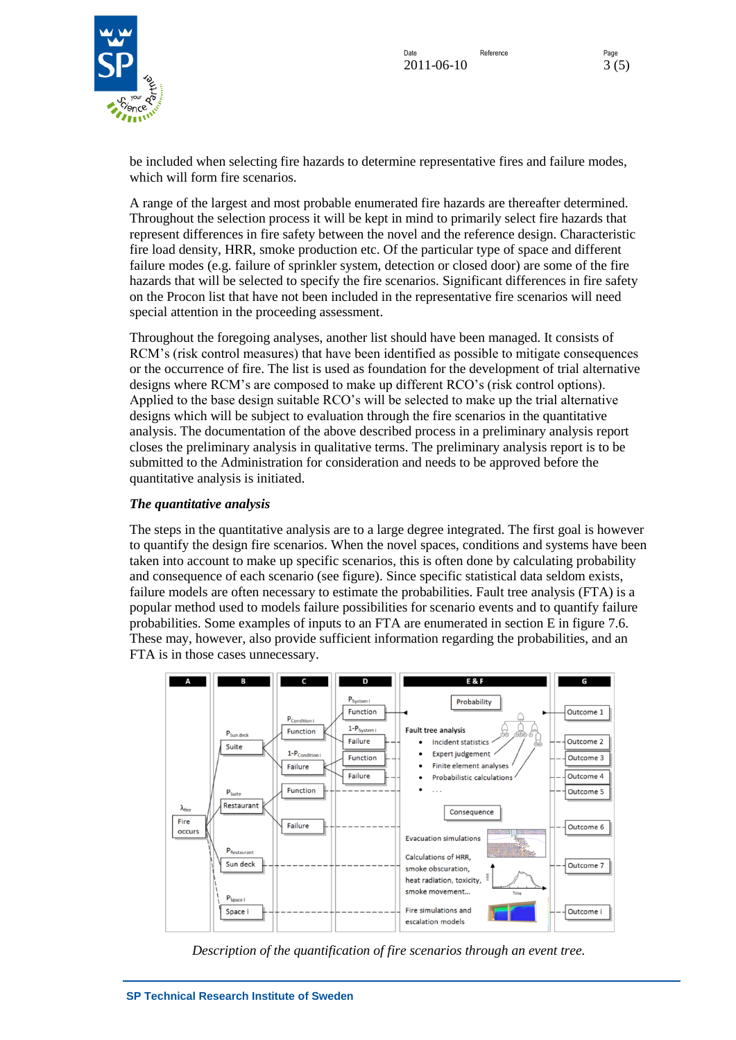

be included when selecting fire hazards to determine representative fires and failure modes, which will form fire scenarios.

A range of the largest and most probable enumerated fire hazards are thereafter determined. Throughout the selection process it will be kept in mind to primarily select fire hazards that represent differences in fire safety between the novel and the reference design. Characteristic fire load density, HRR, smoke production etc. Of the particular type of space and different failure modes (e.g. failure of sprinkler system, detection or closed door) are some of the fire hazards that will be selected to specify the fire scenarios. Significant differences in fire safety on the Procon list that have not been included in the representative fire scenarios will need special attention in the proceeding assessment.

Throughout the foregoing analyses, another list should have been managed. It consists of RCM's (risk control measures) that have been identified as possible to mitigate consequences or the occurrence of fire. The list is used as foundation for the development of trial alternative designs where RCM's are composed to make up different RCO's (risk control options). Applied to the base design suitable RCO's will be selected to make up the trial alternative designs which will be subject to evaluation through the fire scenarios in the quantitative analysis. The documentation of the above described process in a preliminary analysis report closes the preliminary analysis in qualitative terms. The preliminary analysis report is to be submitted to the Administration for consideration and needs to be approved before the quantitative analysis is initiated.

### *The quantitative analysis*

The steps in the quantitative analysis are to a large degree integrated. The first goal is however to quantify the design fire scenarios. When the novel spaces, conditions and systems have been taken into account to make up specific scenarios, this is often done by calculating probability and consequence of each scenario (see figure). Since specific statistical data seldom exists, failure models are often necessary to estimate the probabilities. Fault tree analysis (FTA) is a popular method used to models failure possibilities for scenario events and to quantify failure probabilities. Some examples of inputs to an FTA are enumerated in section E in figure 7.6. These may, however, also provide sufficient information regarding the probabilities, and an FTA is in those cases unnecessary.



*Description of the quantification of fire scenarios through an event tree.*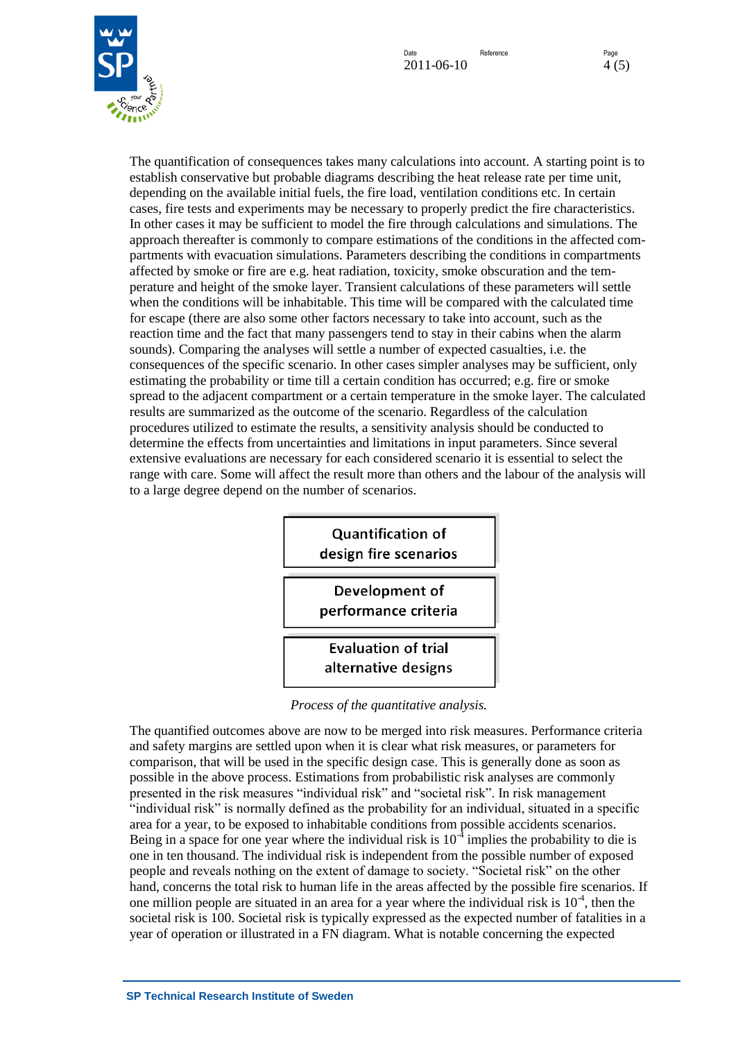



The quantification of consequences takes many calculations into account. A starting point is to establish conservative but probable diagrams describing the heat release rate per time unit, depending on the available initial fuels, the fire load, ventilation conditions etc. In certain cases, fire tests and experiments may be necessary to properly predict the fire characteristics. In other cases it may be sufficient to model the fire through calculations and simulations. The approach thereafter is commonly to compare estimations of the conditions in the affected compartments with evacuation simulations. Parameters describing the conditions in compartments affected by smoke or fire are e.g. heat radiation, toxicity, smoke obscuration and the temperature and height of the smoke layer. Transient calculations of these parameters will settle when the conditions will be inhabitable. This time will be compared with the calculated time for escape (there are also some other factors necessary to take into account, such as the reaction time and the fact that many passengers tend to stay in their cabins when the alarm sounds). Comparing the analyses will settle a number of expected casualties, i.e. the consequences of the specific scenario. In other cases simpler analyses may be sufficient, only estimating the probability or time till a certain condition has occurred; e.g. fire or smoke spread to the adjacent compartment or a certain temperature in the smoke layer. The calculated results are summarized as the outcome of the scenario. Regardless of the calculation procedures utilized to estimate the results, a sensitivity analysis should be conducted to determine the effects from uncertainties and limitations in input parameters. Since several extensive evaluations are necessary for each considered scenario it is essential to select the range with care. Some will affect the result more than others and the labour of the analysis will to a large degree depend on the number of scenarios.



*Process of the quantitative analysis.*

The quantified outcomes above are now to be merged into risk measures. Performance criteria and safety margins are settled upon when it is clear what risk measures, or parameters for comparison, that will be used in the specific design case. This is generally done as soon as possible in the above process. Estimations from probabilistic risk analyses are commonly presented in the risk measures "individual risk" and "societal risk". In risk management "individual risk" is normally defined as the probability for an individual, situated in a specific area for a year, to be exposed to inhabitable conditions from possible accidents scenarios. Being in a space for one year where the individual risk is  $10^{-4}$  implies the probability to die is one in ten thousand. The individual risk is independent from the possible number of exposed people and reveals nothing on the extent of damage to society. "Societal risk" on the other hand, concerns the total risk to human life in the areas affected by the possible fire scenarios. If one million people are situated in an area for a year where the individual risk is  $10^{-4}$ , then the societal risk is 100. Societal risk is typically expressed as the expected number of fatalities in a year of operation or illustrated in a FN diagram. What is notable concerning the expected